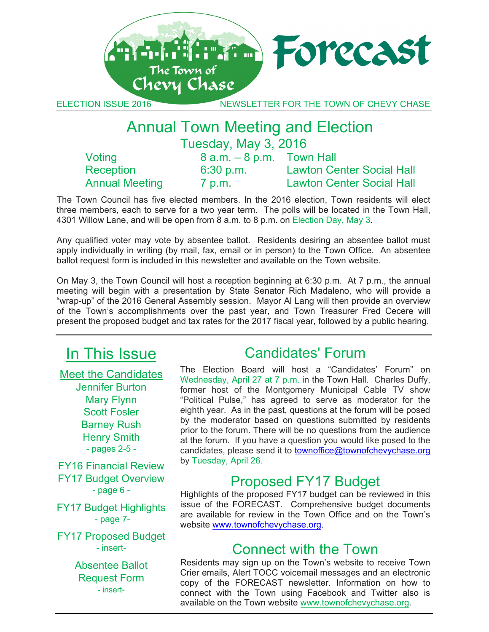

ELECTION ISSUE 2016 NEWSLETTER FOR THE TOWN OF CHEVY CHASE

### Annual Town Meeting and Election Tuesday, May 3, 2016

| Voting                | $8$ a.m. $-8$ p.m. Town Hall |                                  |
|-----------------------|------------------------------|----------------------------------|
| Reception             | $6:30$ p.m.                  | <b>Lawton Center Social Hall</b> |
| <b>Annual Meeting</b> | 7 p.m.                       | <b>Lawton Center Social Hall</b> |

The Town Council has five elected members. In the 2016 election, Town residents will elect three members, each to serve for a two year term. The polls will be located in the Town Hall, 4301 Willow Lane, and will be open from 8 a.m. to 8 p.m. on Election Day, May 3.

Any qualified voter may vote by absentee ballot. Residents desiring an absentee ballot must apply individually in writing (by mail, fax, email or in person) to the Town Office. An absentee ballot request form is included in this newsletter and available on the Town website.

On May 3, the Town Council will host a reception beginning at 6:30 p.m. At 7 p.m., the annual meeting will begin with a presentation by State Senator Rich Madaleno, who will provide a "wrap-up" of the 2016 General Assembly session. Mayor Al Lang will then provide an overview of the Town's accomplishments over the past year, and Town Treasurer Fred Cecere will present the proposed budget and tax rates for the 2017 fiscal year, followed by a public hearing.

## In This Issue

Meet the Candidates Jennifer Burton Mary Flynn Scott Fosler Barney Rush Henry Smith - pages 2-5 -

FY16 Financial Review FY17 Budget Overview - page 6 -

FY17 Budget Highlights - page 7-

FY17 Proposed Budget - insert-

> Absentee Ballot Request Form - insert-

## Candidates' Forum

The Election Board will host a "Candidates' Forum" on Wednesday, April 27 at 7 p.m. in the Town Hall. Charles Duffy, former host of the Montgomery Municipal Cable TV show "Political Pulse," has agreed to serve as moderator for the eighth year. As in the past, questions at the forum will be posed by the moderator based on questions submitted by residents prior to the forum. There will be no questions from the audience at the forum. If you have a question you would like posed to the candidates, please send it to townoffice@townofchevychase.org by Tuesday, April 26.

### Proposed FY17 Budget

Highlights of the proposed FY17 budget can be reviewed in this issue of the FORECAST. Comprehensive budget documents are available for review in the Town Office and on the Town's website www.townofchevychase.org.

### Connect with the Town

Residents may sign up on the Town's website to receive Town Crier emails, Alert TOCC voicemail messages and an electronic copy of the FORECAST newsletter. Information on how to connect with the Town using Facebook and Twitter also is available on the Town website www.townofchevychase.org.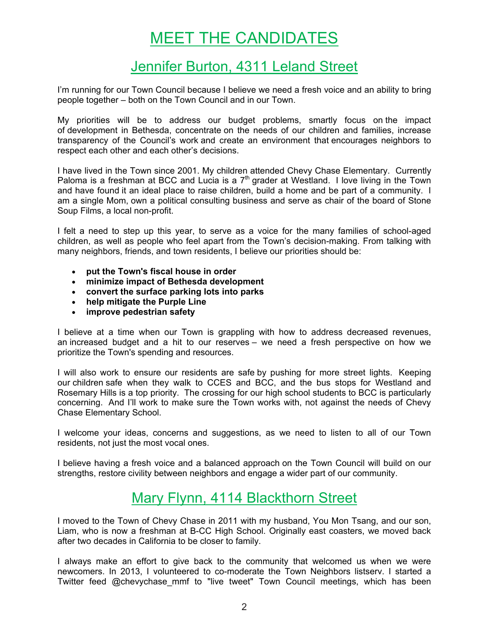# MEET THE CANDIDATES

### Jennifer Burton, 4311 Leland Street

I'm running for our Town Council because I believe we need a fresh voice and an ability to bring people together – both on the Town Council and in our Town.

My priorities will be to address our budget problems, smartly focus on the impact of development in Bethesda, concentrate on the needs of our children and families, increase transparency of the Council's work and create an environment that encourages neighbors to respect each other and each other's decisions.

I have lived in the Town since 2001. My children attended Chevy Chase Elementary. Currently Paloma is a freshman at BCC and Lucia is a  $7<sup>th</sup>$  grader at Westland. I love living in the Town and have found it an ideal place to raise children, build a home and be part of a community. I am a single Mom, own a political consulting business and serve as chair of the board of Stone Soup Films, a local non-profit.

I felt a need to step up this year, to serve as a voice for the many families of school-aged children, as well as people who feel apart from the Town's decision-making. From talking with many neighbors, friends, and town residents, I believe our priorities should be:

- **put the Town's fiscal house in order**
- **minimize impact of Bethesda development**
- **convert the surface parking lots into parks**
- **help mitigate the Purple Line**
- **improve pedestrian safety**

I believe at a time when our Town is grappling with how to address decreased revenues, an increased budget and a hit to our reserves – we need a fresh perspective on how we prioritize the Town's spending and resources.

I will also work to ensure our residents are safe by pushing for more street lights. Keeping our children safe when they walk to CCES and BCC, and the bus stops for Westland and Rosemary Hills is a top priority. The crossing for our high school students to BCC is particularly concerning. And I'll work to make sure the Town works with, not against the needs of Chevy Chase Elementary School.

I welcome your ideas, concerns and suggestions, as we need to listen to all of our Town residents, not just the most vocal ones.

I believe having a fresh voice and a balanced approach on the Town Council will build on our strengths, restore civility between neighbors and engage a wider part of our community.

### Mary Flynn, 4114 Blackthorn Street

I moved to the Town of Chevy Chase in 2011 with my husband, You Mon Tsang, and our son, Liam, who is now a freshman at B-CC High School. Originally east coasters, we moved back after two decades in California to be closer to family.

I always make an effort to give back to the community that welcomed us when we were newcomers. In 2013, I volunteered to co-moderate the Town Neighbors listserv. I started a Twitter feed @chevychase\_mmf to "live tweet" Town Council meetings, which has been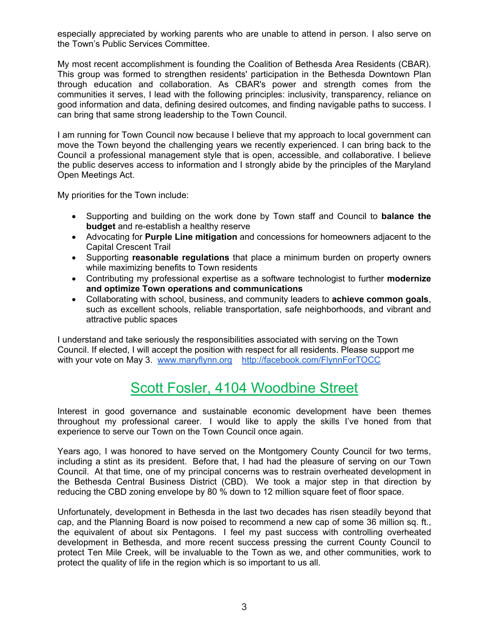especially appreciated by working parents who are unable to attend in person. I also serve on the Town's Public Services Committee.

My most recent accomplishment is founding the Coalition of Bethesda Area Residents (CBAR). This group was formed to strengthen residents' participation in the Bethesda Downtown Plan through education and collaboration. As CBAR's power and strength comes from the communities it serves, I lead with the following principles: inclusivity, transparency, reliance on good information and data, defining desired outcomes, and finding navigable paths to success. I can bring that same strong leadership to the Town Council.

I am running for Town Council now because I believe that my approach to local government can move the Town beyond the challenging years we recently experienced. I can bring back to the Council a professional management style that is open, accessible, and collaborative. I believe the public deserves access to information and I strongly abide by the principles of the Maryland Open Meetings Act.

My priorities for the Town include:

- Supporting and building on the work done by Town staff and Council to **balance the budget** and re-establish a healthy reserve
- Advocating for **Purple Line mitigation** and concessions for homeowners adjacent to the Capital Crescent Trail
- Supporting **reasonable regulations** that place a minimum burden on property owners while maximizing benefits to Town residents
- Contributing my professional expertise as a software technologist to further **modernize and optimize Town operations and communications**
- Collaborating with school, business, and community leaders to **achieve common goals**, such as excellent schools, reliable transportation, safe neighborhoods, and vibrant and attractive public spaces

I understand and take seriously the responsibilities associated with serving on the Town Council. If elected, I will accept the position with respect for all residents. Please support me with your vote on May 3. www.maryflynn.org http://facebook.com/FlynnForTOCC

### Scott Fosler, 4104 Woodbine Street

Interest in good governance and sustainable economic development have been themes throughout my professional career. I would like to apply the skills I've honed from that experience to serve our Town on the Town Council once again.

Years ago, I was honored to have served on the Montgomery County Council for two terms, including a stint as its president. Before that, I had had the pleasure of serving on our Town Council. At that time, one of my principal concerns was to restrain overheated development in the Bethesda Central Business District (CBD). We took a major step in that direction by reducing the CBD zoning envelope by 80 % down to 12 million square feet of floor space.

Unfortunately, development in Bethesda in the last two decades has risen steadily beyond that cap, and the Planning Board is now poised to recommend a new cap of some 36 million sq. ft., the equivalent of about six Pentagons. I feel my past success with controlling overheated development in Bethesda, and more recent success pressing the current County Council to protect Ten Mile Creek, will be invaluable to the Town as we, and other communities, work to protect the quality of life in the region which is so important to us all.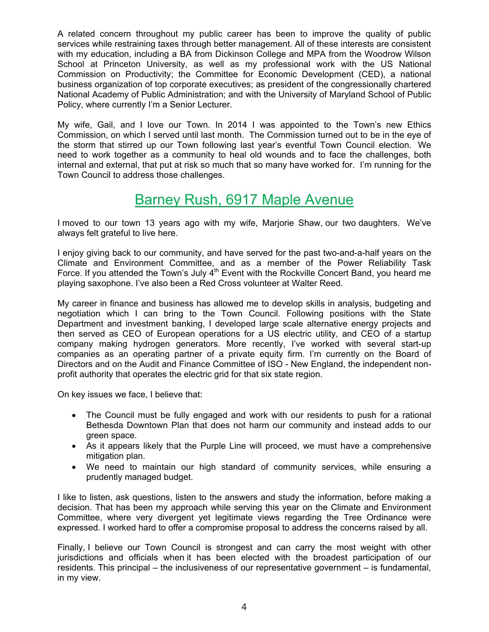A related concern throughout my public career has been to improve the quality of public services while restraining taxes through better management. All of these interests are consistent with my education, including a BA from Dickinson College and MPA from the Woodrow Wilson School at Princeton University, as well as my professional work with the US National Commission on Productivity; the Committee for Economic Development (CED), a national business organization of top corporate executives; as president of the congressionally chartered National Academy of Public Administration; and with the University of Maryland School of Public Policy, where currently I'm a Senior Lecturer.

My wife, Gail, and I love our Town. In 2014 I was appointed to the Town's new Ethics Commission, on which I served until last month. The Commission turned out to be in the eye of the storm that stirred up our Town following last year's eventful Town Council election. We need to work together as a community to heal old wounds and to face the challenges, both internal and external, that put at risk so much that so many have worked for. I'm running for the Town Council to address those challenges.

### Barney Rush, 6917 Maple Avenue

I moved to our town 13 years ago with my wife, Marjorie Shaw, our two daughters. We've always felt grateful to live here.

I enjoy giving back to our community, and have served for the past two-and-a-half years on the Climate and Environment Committee, and as a member of the Power Reliability Task Force. If you attended the Town's July  $4<sup>th</sup>$  Event with the Rockville Concert Band, you heard me playing saxophone. I've also been a Red Cross volunteer at Walter Reed.

My career in finance and business has allowed me to develop skills in analysis, budgeting and negotiation which I can bring to the Town Council. Following positions with the State Department and investment banking, I developed large scale alternative energy projects and then served as CEO of European operations for a US electric utility, and CEO of a startup company making hydrogen generators. More recently, I've worked with several start-up companies as an operating partner of a private equity firm. I'm currently on the Board of Directors and on the Audit and Finance Committee of ISO - New England, the independent nonprofit authority that operates the electric grid for that six state region.

On key issues we face, I believe that:

- The Council must be fully engaged and work with our residents to push for a rational Bethesda Downtown Plan that does not harm our community and instead adds to our green space.
- As it appears likely that the Purple Line will proceed, we must have a comprehensive mitigation plan.
- We need to maintain our high standard of community services, while ensuring a prudently managed budget.

I like to listen, ask questions, listen to the answers and study the information, before making a decision. That has been my approach while serving this year on the Climate and Environment Committee, where very divergent yet legitimate views regarding the Tree Ordinance were expressed. I worked hard to offer a compromise proposal to address the concerns raised by all.

Finally, I believe our Town Council is strongest and can carry the most weight with other jurisdictions and officials when it has been elected with the broadest participation of our residents. This principal – the inclusiveness of our representative government – is fundamental, in my view.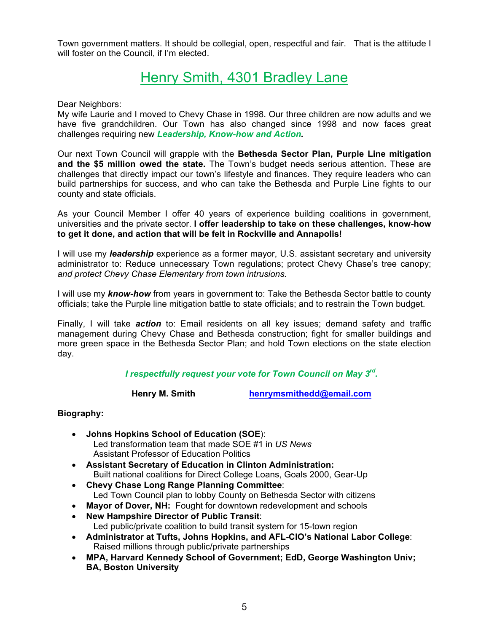Town government matters. It should be collegial, open, respectful and fair. That is the attitude I will foster on the Council, if I'm elected.

### Henry Smith, 4301 Bradley Lane

Dear Neighbors:

My wife Laurie and I moved to Chevy Chase in 1998. Our three children are now adults and we have five grandchildren. Our Town has also changed since 1998 and now faces great challenges requiring new *Leadership, Know-how and Action.*

Our next Town Council will grapple with the **Bethesda Sector Plan, Purple Line mitigation and the \$5 million owed the state.** The Town's budget needs serious attention. These are challenges that directly impact our town's lifestyle and finances. They require leaders who can build partnerships for success, and who can take the Bethesda and Purple Line fights to our county and state officials.

As your Council Member I offer 40 years of experience building coalitions in government, universities and the private sector. **I offer leadership to take on these challenges, know-how to get it done, and action that will be felt in Rockville and Annapolis!** 

I will use my *leadership* experience as a former mayor, U.S. assistant secretary and university administrator to: Reduce unnecessary Town regulations; protect Chevy Chase's tree canopy; *and protect Chevy Chase Elementary from town intrusions.* 

I will use my *know-how* from years in government to: Take the Bethesda Sector battle to county officials; take the Purple line mitigation battle to state officials; and to restrain the Town budget.

Finally, I will take *action* to: Email residents on all key issues; demand safety and traffic management during Chevy Chase and Bethesda construction; fight for smaller buildings and more green space in the Bethesda Sector Plan; and hold Town elections on the state election day.

*I respectfully request your vote for Town Council on May 3rd.*

Henry M. Smith **henrymsmithedd@email.com** 

#### **Biography:**

- **Johns Hopkins School of Education (SOE**): Led transformation team that made SOE #1 in *US News* Assistant Professor of Education Politics
- **Assistant Secretary of Education in Clinton Administration:**  Built national coalitions for Direct College Loans, Goals 2000, Gear-Up
- **Chevy Chase Long Range Planning Committee**: Led Town Council plan to lobby County on Bethesda Sector with citizens
- **Mayor of Dover, NH:** Fought for downtown redevelopment and schools
- **New Hampshire Director of Public Transit**: Led public/private coalition to build transit system for 15-town region
- **Administrator at Tufts, Johns Hopkins, and AFL-CIO's National Labor College**: Raised millions through public/private partnerships
- **MPA, Harvard Kennedy School of Government; EdD, George Washington Univ; BA, Boston University**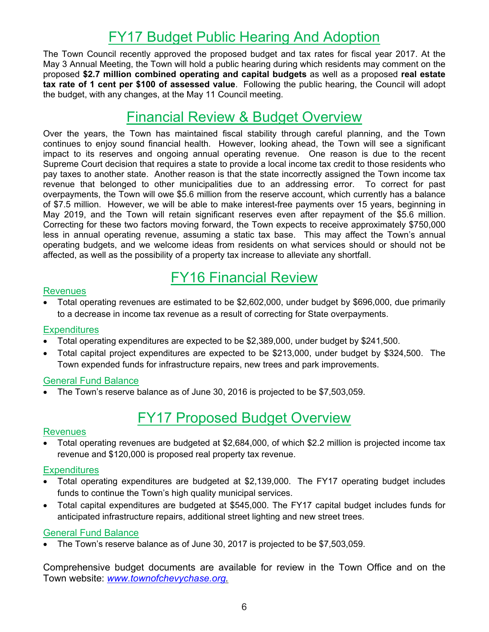### FY17 Budget Public Hearing And Adoption

The Town Council recently approved the proposed budget and tax rates for fiscal year 2017. At the May 3 Annual Meeting, the Town will hold a public hearing during which residents may comment on the proposed **\$2.7 million combined operating and capital budgets** as well as a proposed **real estate tax rate of 1 cent per \$100 of assessed value**. Following the public hearing, the Council will adopt the budget, with any changes, at the May 11 Council meeting.

### Financial Review & Budget Overview

Over the years, the Town has maintained fiscal stability through careful planning, and the Town continues to enjoy sound financial health. However, looking ahead, the Town will see a significant impact to its reserves and ongoing annual operating revenue. One reason is due to the recent Supreme Court decision that requires a state to provide a local income tax credit to those residents who pay taxes to another state. Another reason is that the state incorrectly assigned the Town income tax revenue that belonged to other municipalities due to an addressing error. To correct for past overpayments, the Town will owe \$5.6 million from the reserve account, which currently has a balance of \$7.5 million. However, we will be able to make interest-free payments over 15 years, beginning in May 2019, and the Town will retain significant reserves even after repayment of the \$5.6 million. Correcting for these two factors moving forward, the Town expects to receive approximately \$750,000 less in annual operating revenue, assuming a static tax base. This may affect the Town's annual operating budgets, and we welcome ideas from residents on what services should or should not be affected, as well as the possibility of a property tax increase to alleviate any shortfall.

### FY16 Financial Review

#### **Revenues**

• Total operating revenues are estimated to be \$2,602,000, under budget by \$696,000, due primarily to a decrease in income tax revenue as a result of correcting for State overpayments.

#### **Expenditures**

- Total operating expenditures are expected to be \$2,389,000, under budget by \$241,500.
- Total capital project expenditures are expected to be \$213,000, under budget by \$324,500. The Town expended funds for infrastructure repairs, new trees and park improvements.

#### General Fund Balance

• The Town's reserve balance as of June 30, 2016 is projected to be \$7,503,059.

### FY17 Proposed Budget Overview

#### Revenues

• Total operating revenues are budgeted at \$2,684,000, of which \$2.2 million is projected income tax revenue and \$120,000 is proposed real property tax revenue.

#### **Expenditures**

- Total operating expenditures are budgeted at \$2,139,000. The FY17 operating budget includes funds to continue the Town's high quality municipal services.
- Total capital expenditures are budgeted at \$545,000. The FY17 capital budget includes funds for anticipated infrastructure repairs, additional street lighting and new street trees.

#### General Fund Balance

• The Town's reserve balance as of June 30, 2017 is projected to be \$7,503,059.

Comprehensive budget documents are available for review in the Town Office and on the Town website: *www.townofchevychase.org.*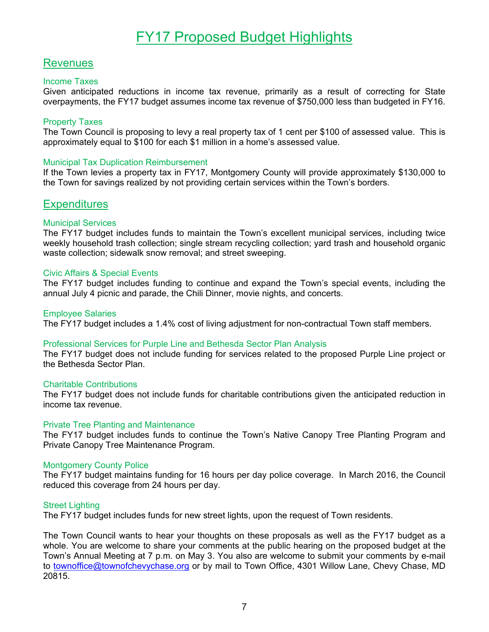### **Revenues**

#### Income Taxes

Given anticipated reductions in income tax revenue, primarily as a result of correcting for State overpayments, the FY17 budget assumes income tax revenue of \$750,000 less than budgeted in FY16.

#### Property Taxes

The Town Council is proposing to levy a real property tax of 1 cent per \$100 of assessed value. This is approximately equal to \$100 for each \$1 million in a home's assessed value.

#### Municipal Tax Duplication Reimbursement

If the Town levies a property tax in FY17, Montgomery County will provide approximately \$130,000 to the Town for savings realized by not providing certain services within the Town's borders.

### **Expenditures**

#### Municipal Services

The FY17 budget includes funds to maintain the Town's excellent municipal services, including twice weekly household trash collection; single stream recycling collection; yard trash and household organic waste collection; sidewalk snow removal; and street sweeping.

#### Civic Affairs & Special Events

The FY17 budget includes funding to continue and expand the Town's special events, including the annual July 4 picnic and parade, the Chili Dinner, movie nights, and concerts.

#### Employee Salaries

The FY17 budget includes a 1.4% cost of living adjustment for non-contractual Town staff members.

#### Professional Services for Purple Line and Bethesda Sector Plan Analysis

The FY17 budget does not include funding for services related to the proposed Purple Line project or the Bethesda Sector Plan.

#### Charitable Contributions

The FY17 budget does not include funds for charitable contributions given the anticipated reduction in income tax revenue.

#### Private Tree Planting and Maintenance

The FY17 budget includes funds to continue the Town's Native Canopy Tree Planting Program and Private Canopy Tree Maintenance Program.

#### Montgomery County Police

The FY17 budget maintains funding for 16 hours per day police coverage. In March 2016, the Council reduced this coverage from 24 hours per day.

#### Street Lighting

The FY17 budget includes funds for new street lights, upon the request of Town residents.

The Town Council wants to hear your thoughts on these proposals as well as the FY17 budget as a whole. You are welcome to share your comments at the public hearing on the proposed budget at the Town's Annual Meeting at 7 p.m. on May 3. You also are welcome to submit your comments by e-mail to townoffice@townofchevychase.org or by mail to Town Office, 4301 Willow Lane, Chevy Chase, MD 20815.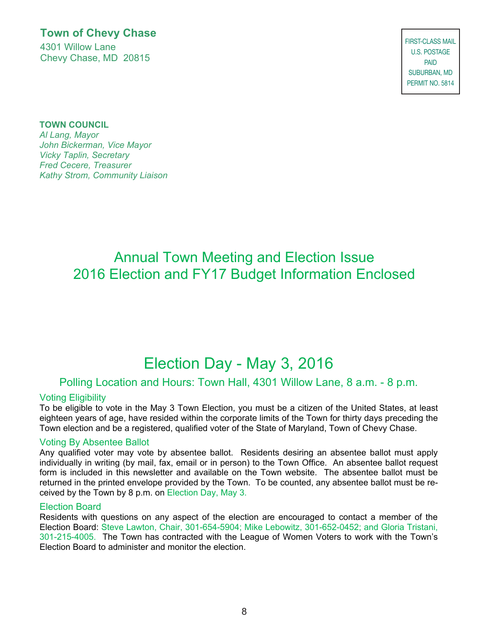**Town of Chevy Chase** 4301 Willow Lane Chevy Chase, MD 20815

PRSRT STD **FIRST-CLASS MAIL** PAID Bethesda, MD (1996) SUBURBAN, MD Bethesda, MD U.S. POSTAGE PAID PERMIT NO. 5814

#### **TOWN COUNCIL**

*Vicky Taplin, Secretary Al Lang, Mayor Fred Cecere, Treasurer John Bickerman, Vice Mayor Kathy Strom, Community Liaison Al Lang, Mayor John Bickerman, Vice Mayor* 

### Annual Town Meeting and Election Issue 2016 Election and FY17 Budget Information Enclosed

## Election Day - May 3, 2016

#### Polling Location and Hours: Town Hall, 4301 Willow Lane, 8 a.m. - 8 p.m.

#### Voting Eligibility

To be eligible to vote in the May 3 Town Election, you must be a citizen of the United States, at least eighteen years of age, have resided within the corporate limits of the Town for thirty days preceding the Town election and be a registered, qualified voter of the State of Maryland, Town of Chevy Chase.

#### Voting By Absentee Ballot

Any qualified voter may vote by absentee ballot. Residents desiring an absentee ballot must apply individually in writing (by mail, fax, email or in person) to the Town Office. An absentee ballot request form is included in this newsletter and available on the Town website. The absentee ballot must be returned in the printed envelope provided by the Town. To be counted, any absentee ballot must be received by the Town by 8 p.m. on Election Day, May 3.

#### Election Board

Residents with questions on any aspect of the election are encouraged to contact a member of the Election Board: Steve Lawton, Chair, 301-654-5904; Mike Lebowitz, 301-652-0452; and Gloria Tristani, 301-215-4005. The Town has contracted with the League of Women Voters to work with the Town's Election Board to administer and monitor the election.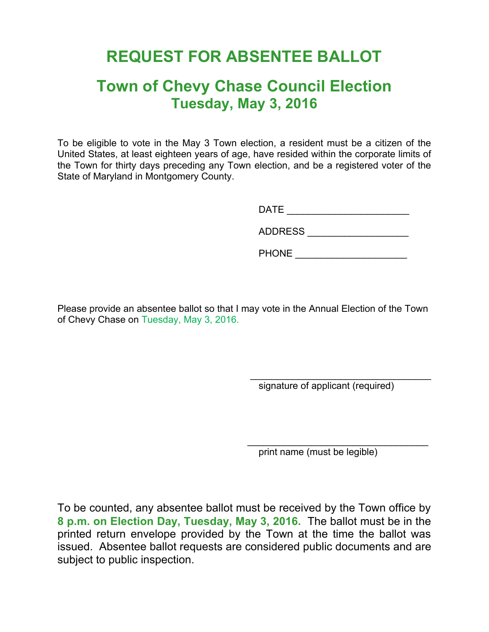## **REQUEST FOR ABSENTEE BALLOT**

### **Town of Chevy Chase Council Election Tuesday, May 3, 2016**

To be eligible to vote in the May 3 Town election, a resident must be a citizen of the United States, at least eighteen years of age, have resided within the corporate limits of the Town for thirty days preceding any Town election, and be a registered voter of the State of Maryland in Montgomery County.

DATE \_\_\_\_\_\_\_\_\_\_\_\_\_\_\_\_\_\_\_\_\_\_\_

| <b>ADDRESS</b> |
|----------------|
|                |

PHONE **EXECUTE** 

Please provide an absentee ballot so that I may vote in the Annual Election of the Town of Chevy Chase on Tuesday, May 3, 2016.

 $\overline{\phantom{a}}$  ,  $\overline{\phantom{a}}$  ,  $\overline{\phantom{a}}$  ,  $\overline{\phantom{a}}$  ,  $\overline{\phantom{a}}$  ,  $\overline{\phantom{a}}$  ,  $\overline{\phantom{a}}$  ,  $\overline{\phantom{a}}$  ,  $\overline{\phantom{a}}$  ,  $\overline{\phantom{a}}$  ,  $\overline{\phantom{a}}$  ,  $\overline{\phantom{a}}$  ,  $\overline{\phantom{a}}$  ,  $\overline{\phantom{a}}$  ,  $\overline{\phantom{a}}$  ,  $\overline{\phantom{a}}$ signature of applicant (required)

 $\mathcal{L}_\text{max}$  and  $\mathcal{L}_\text{max}$  and  $\mathcal{L}_\text{max}$  and  $\mathcal{L}_\text{max}$  and  $\mathcal{L}_\text{max}$  and  $\mathcal{L}_\text{max}$ print name (must be legible)

To be counted, any absentee ballot must be received by the Town office by **8 p.m. on Election Day, Tuesday, May 3, 2016.** The ballot must be in the printed return envelope provided by the Town at the time the ballot was issued. Absentee ballot requests are considered public documents and are subject to public inspection.